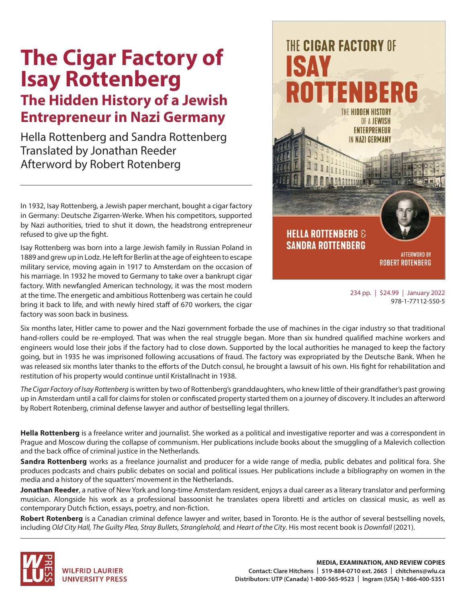## **The Cigar Factory of Isay Rottenberg**

## **The Hidden History of a Jewish Entrepreneur in Nazi Germany**

Hella Rottenberg and Sandra Rottenberg Translated by Jonathan Reeder Afterword by Robert Rotenberg

In 1932, Isay Rottenberg, a Jewish paper merchant, bought a cigar factory in Germany: Deutsche Zigarren-Werke. When his competitors, supported by Nazi authorities, tried to shut it down, the headstrong entrepreneur refused to give up the fight.

Isay Rottenberg was born into a large Jewish family in Russian Poland in 1889 and grew up in Lodz. He left for Berlin at the age of eighteen to escape military service, moving again in 1917 to Amsterdam on the occasion of his marriage. In 1932 he moved to Germany to take over a bankrupt cigar factory. With newfangled American technology, it was the most modern at the time. The energetic and ambitious Rottenberg was certain he could bring it back to life, and with newly hired staff of 670 workers, the cigar factory was soon back in business.



234 pp. | \$24.99 | January 2022 978-1-77112-550-5

Six months later, Hitler came to power and the Nazi government forbade the use of machines in the cigar industry so that traditional hand-rollers could be re-employed. That was when the real struggle began. More than six hundred qualified machine workers and engineers would lose their jobs if the factory had to close down. Supported by the local authorities he managed to keep the factory going, but in 1935 he was imprisoned following accusations of fraud. The factory was expropriated by the Deutsche Bank. When he was released six months later thanks to the efforts of the Dutch consul, he brought a lawsuit of his own. His fight for rehabilitation and restitution of his property would continue until Kristallnacht in 1938.

*The Cigar Factory of Isay Rottenberg* is written by two of Rottenberg's granddaughters, who knew little of their grandfather's past growing up in Amsterdam until a call for claims for stolen or confiscated property started them on a journey of discovery. It includes an afterword by Robert Rotenberg, criminal defense lawyer and author of bestselling legal thrillers.

**Hella Rottenberg** is a freelance writer and journalist. She worked as a political and investigative reporter and was a correspondent in Prague and Moscow during the collapse of communism. Her publications include books about the smuggling of a Malevich collection and the back office of criminal justice in the Netherlands.

**Sandra Rottenberg** works as a freelance journalist and producer for a wide range of media, public debates and political fora. She produces podcasts and chairs public debates on social and political issues. Her publications include a bibliography on women in the media and a history of the squatters' movement in the Netherlands.

**Jonathan Reeder**, a native of New York and long-time Amsterdam resident, enjoys a dual career as a literary translator and performing musician. Alongside his work as a professional bassoonist he translates opera libretti and articles on classical music, as well as contemporary Dutch fiction, essays, poetry, and non-fiction.

**Robert Rotenberg** is a Canadian criminal defence lawyer and writer, based in Toronto. He is the author of several bestselling novels, including *Old City Hall, The Guilty Plea, Stray Bullets, Stranglehold,* and *Heart of the City*. His most recent book is *Downfall* (2021).